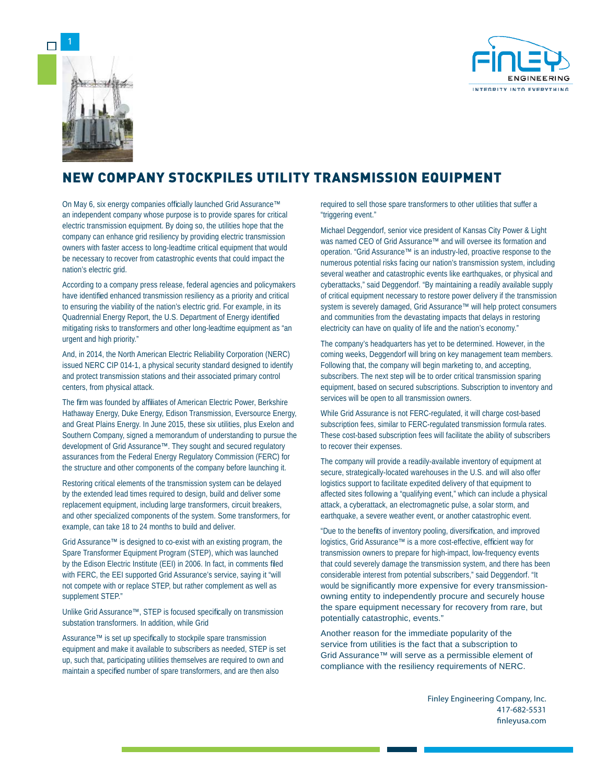



## NEW COMPANY STOCKPILES UTILITY TRANSMISSION EQUIPMENT

On May 6, six energy companies officially launched Grid Assurance™ an independent company whose purpose is to provide spares for critical electric transmission equipment. By doing so, the utilities hope that the company can enhance grid resiliency by providing electric transmission owners with faster access to long-leadtime critical equipment that would be necessary to recover from catastrophic events that could impact the nation's electric grid.

According to a company press release, federal agencies and policymakers have identified enhanced transmission resiliency as a priority and critical to ensuring the viability of the nation's electric grid. For example, in its Quadrennial Energy Report, the U.S. Department of Energy identified mitigating risks to transformers and other long-leadtime equipment as "an urgent and high priority."

And, in 2014, the North American Electric Reliability Corporation (NERC) issued NERC CIP 014-1, a physical security standard designed to identify and protect transmission stations and their associated primary control centers, from physical attack.

The firm was founded by affiliates of American Electric Power, Berkshire Hathaway Energy, Duke Energy, Edison Transmission, Eversource Energy, and Great Plains Energy. In June 2015, these six utilities, plus Exelon and Southern Company, signed a memorandum of understanding to pursue the development of Grid Assurance™. They sought and secured regulatory assurances from the Federal Energy Regulatory Commission (FERC) for the structure and other components of the company before launching it.

Restoring critical elements of the transmission system can be delayed by the extended lead times required to design, build and deliver some replacement equipment, including large transformers, circuit breakers, and other specialized components of the system. Some transformers, for example, can take 18 to 24 months to build and deliver.

Grid Assurance™ is designed to co-exist with an existing program, the Spare Transformer Equipment Program (STEP), which was launched by the Edison Electric Institute (EEI) in 2006. In fact, in comments filed with FERC, the EEI supported Grid Assurance's service, saying it "will not compete with or replace STEP, but rather complement as well as supplement STEP."

Unlike Grid Assurance™, STEP is focused specifically on transmission substation transformers. In addition, while Grid

Assurance™ is set up specifically to stockpile spare transmission equipment and make it available to subscribers as needed, STEP is set up, such that, participating utilities themselves are required to own and maintain a specified number of spare transformers, and are then also

required to sell those spare transformers to other utilities that suffer a "triggering event."

Michael Deggendorf, senior vice president of Kansas City Power & Light was named CEO of Grid Assurance™ and will oversee its formation and operation. "Grid Assurance™ is an industry-led, proactive response to the numerous potential risks facing our nation's transmission system, including several weather and catastrophic events like earthquakes, or physical and cyberattacks," said Deggendorf. "By maintaining a readily available supply of critical equipment necessary to restore power delivery if the transmission system is severely damaged, Grid Assurance™ will help protect consumers and communities from the devastating impacts that delays in restoring electricity can have on quality of life and the nation's economy."

The company's headquarters has yet to be determined. However, in the coming weeks, Deggendorf will bring on key management team members. Following that, the company will begin marketing to, and accepting, subscribers. The next step will be to order critical transmission sparing equipment, based on secured subscriptions. Subscription to inventory and services will be open to all transmission owners.

While Grid Assurance is not FERC-regulated, it will charge cost-based subscription fees, similar to FERC-regulated transmission formula rates. These cost-based subscription fees will facilitate the ability of subscribers to recover their expenses.

The company will provide a readily-available inventory of equipment at secure, strategically-located warehouses in the U.S. and will also offer logistics support to facilitate expedited delivery of that equipment to affected sites following a "qualifying event," which can include a physical attack, a cyberattack, an electromagnetic pulse, a solar storm, and earthquake, a severe weather event, or another catastrophic event.

"Due to the benefits of inventory pooling, diversification, and improved logistics, Grid Assurance™ is a more cost-effective, efficient way for transmission owners to prepare for high-impact, low-frequency events that could severely damage the transmission system, and there has been considerable interest from potential subscribers," said Deggendorf. "It would be significantly more expensive for every transmissionowning entity to independently procure and securely house the spare equipment necessary for recovery from rare, but potentially catastrophic, events."

Another reason for the immediate popularity of the service from utilities is the fact that a subscription to Grid Assurance™ will serve as a permissible element of compliance with the resiliency requirements of NERC.

> Finley Engineering Company, Inc. 417-682-5531 finleyusa.com